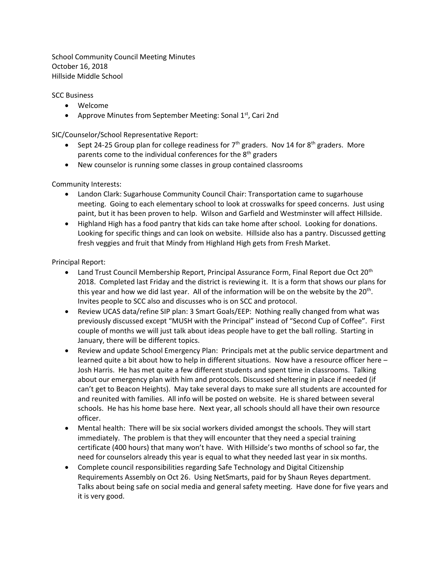School Community Council Meeting Minutes October 16, 2018 Hillside Middle School

SCC Business

- Welcome
- Approve Minutes from September Meeting: Sonal  $1<sup>st</sup>$ , Cari 2nd

SIC/Counselor/School Representative Report:

- Sept 24-25 Group plan for college readiness for  $7<sup>th</sup>$  graders. Nov 14 for 8<sup>th</sup> graders. More parents come to the individual conferences for the  $8<sup>th</sup>$  graders
- New counselor is running some classes in group contained classrooms

Community Interests:

- Landon Clark: Sugarhouse Community Council Chair: Transportation came to sugarhouse meeting. Going to each elementary school to look at crosswalks for speed concerns. Just using paint, but it has been proven to help. Wilson and Garfield and Westminster will affect Hillside.
- Highland High has a food pantry that kids can take home after school. Looking for donations. Looking for specific things and can look on website. Hillside also has a pantry. Discussed getting fresh veggies and fruit that Mindy from Highland High gets from Fresh Market.

Principal Report:

- Land Trust Council Membership Report, Principal Assurance Form, Final Report due Oct 20<sup>th</sup> 2018. Completed last Friday and the district is reviewing it. It is a form that shows our plans for this year and how we did last year. All of the information will be on the website by the 20<sup>th</sup>. Invites people to SCC also and discusses who is on SCC and protocol.
- Review UCAS data/refine SIP plan: 3 Smart Goals/EEP: Nothing really changed from what was previously discussed except "MUSH with the Principal" instead of "Second Cup of Coffee". First couple of months we will just talk about ideas people have to get the ball rolling. Starting in January, there will be different topics.
- Review and update School Emergency Plan: Principals met at the public service department and learned quite a bit about how to help in different situations. Now have a resource officer here – Josh Harris. He has met quite a few different students and spent time in classrooms. Talking about our emergency plan with him and protocols. Discussed sheltering in place if needed (if can't get to Beacon Heights). May take several days to make sure all students are accounted for and reunited with families. All info will be posted on website. He is shared between several schools. He has his home base here. Next year, all schools should all have their own resource officer.
- Mental health: There will be six social workers divided amongst the schools. They will start immediately. The problem is that they will encounter that they need a special training certificate (400 hours) that many won't have. With Hillside's two months of school so far, the need for counselors already this year is equal to what they needed last year in six months.
- Complete council responsibilities regarding Safe Technology and Digital Citizenship Requirements Assembly on Oct 26. Using NetSmarts, paid for by Shaun Reyes department. Talks about being safe on social media and general safety meeting. Have done for five years and it is very good.